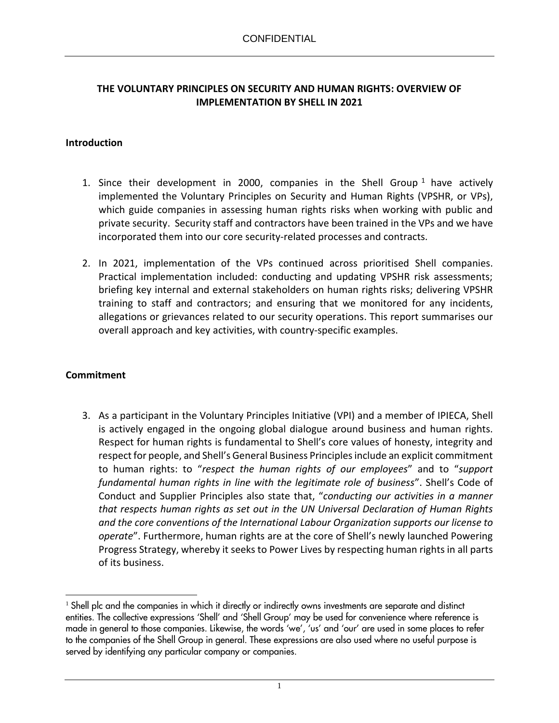#### **THE VOLUNTARY PRINCIPLES ON SECURITY AND HUMAN RIGHTS: OVERVIEW OF IMPLEMENTATION BY SHELL IN 2021**

#### **Introduction**

- 1. Since their development in 2000, companies in the Shell Group<sup>1</sup> have actively implemented the Voluntary Principles on Security and Human Rights (VPSHR, or VPs), which guide companies in assessing human rights risks when working with public and private security. Security staff and contractors have been trained in the VPs and we have incorporated them into our core security-related processes and contracts.
- 2. In 2021, implementation of the VPs continued across prioritised Shell companies. Practical implementation included: conducting and updating VPSHR risk assessments; briefing key internal and external stakeholders on human rights risks; delivering VPSHR training to staff and contractors; and ensuring that we monitored for any incidents, allegations or grievances related to our security operations. This report summarises our overall approach and key activities, with country-specific examples.

#### **Commitment**

3. As a participant in the Voluntary Principles Initiative (VPI) and a member of IPIECA, Shell is actively engaged in the ongoing global dialogue around business and human rights. Respect for human rights is fundamental to Shell's core values of honesty, integrity and respect for people, and Shell's General Business Principles include an explicit commitment to human rights: to "*respect the human rights of our employees*" and to "*support fundamental human rights in line with the legitimate role of business*". Shell's Code of Conduct and Supplier Principles also state that, "*conducting our activities in a manner that respects human rights as set out in the UN Universal Declaration of Human Rights and the core conventions of the International Labour Organization supports our license to operate*". Furthermore, human rights are at the core of Shell's newly launched Powering Progress Strategy, whereby it seeks to Power Lives by respecting human rights in all parts of its business.

<sup>1</sup> Shell plc and the companies in which it directly or indirectly owns investments are separate and distinct entities. The collective expressions 'Shell' and 'Shell Group' may be used for convenience where reference is made in general to those companies. Likewise, the words 'we', 'us' and 'our' are used in some places to refer to the companies of the Shell Group in general. These expressions are also used where no useful purpose is served by identifying any particular company or companies.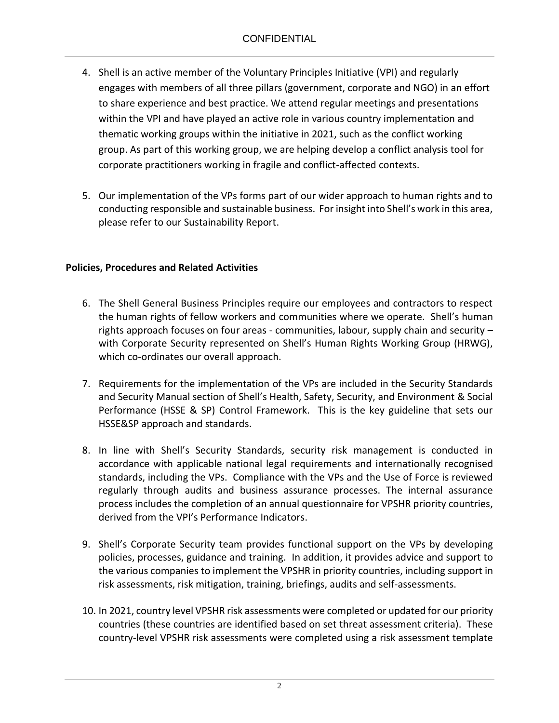- 4. Shell is an active member of the Voluntary Principles Initiative (VPI) and regularly engages with members of all three pillars (government, corporate and NGO) in an effort to share experience and best practice. We attend regular meetings and presentations within the VPI and have played an active role in various country implementation and thematic working groups within the initiative in 2021, such as the conflict working group. As part of this working group, we are helping develop a conflict analysis tool for corporate practitioners working in fragile and conflict-affected contexts.
- 5. Our implementation of the VPs forms part of our wider approach to human rights and to conducting responsible and sustainable business. For insight into Shell's work in this area, please refer to our Sustainability Report.

# **Policies, Procedures and Related Activities**

- 6. The Shell General Business Principles require our employees and contractors to respect the human rights of fellow workers and communities where we operate. Shell's human rights approach focuses on four areas - communities, labour, supply chain and security – with Corporate Security represented on Shell's Human Rights Working Group (HRWG), which co-ordinates our overall approach.
- 7. Requirements for the implementation of the VPs are included in the Security Standards and Security Manual section of Shell's Health, Safety, Security, and Environment & Social Performance (HSSE & SP) Control Framework. This is the key guideline that sets our HSSE&SP approach and standards.
- 8. In line with Shell's Security Standards, security risk management is conducted in accordance with applicable national legal requirements and internationally recognised standards, including the VPs. Compliance with the VPs and the Use of Force is reviewed regularly through audits and business assurance processes. The internal assurance process includes the completion of an annual questionnaire for VPSHR priority countries, derived from the VPI's Performance Indicators.
- 9. Shell's Corporate Security team provides functional support on the VPs by developing policies, processes, guidance and training. In addition, it provides advice and support to the various companies to implement the VPSHR in priority countries, including support in risk assessments, risk mitigation, training, briefings, audits and self-assessments.
- 10. In 2021, country level VPSHR risk assessments were completed or updated for our priority countries (these countries are identified based on set threat assessment criteria). These country-level VPSHR risk assessments were completed using a risk assessment template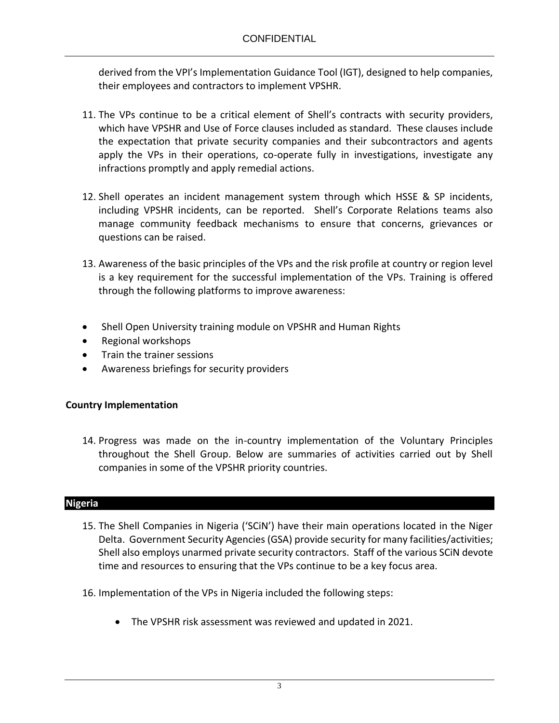derived from the VPI's Implementation Guidance Tool (IGT), designed to help companies, their employees and contractors to implement VPSHR.

- 11. The VPs continue to be a critical element of Shell's contracts with security providers, which have VPSHR and Use of Force clauses included as standard. These clauses include the expectation that private security companies and their subcontractors and agents apply the VPs in their operations, co-operate fully in investigations, investigate any infractions promptly and apply remedial actions.
- 12. Shell operates an incident management system through which HSSE & SP incidents, including VPSHR incidents, can be reported. Shell's Corporate Relations teams also manage community feedback mechanisms to ensure that concerns, grievances or questions can be raised.
- 13. Awareness of the basic principles of the VPs and the risk profile at country or region level is a key requirement for the successful implementation of the VPs. Training is offered through the following platforms to improve awareness:
- Shell Open University training module on VPSHR and Human Rights
- Regional workshops
- Train the trainer sessions
- Awareness briefings for security providers

# **Country Implementation**

14. Progress was made on the in-country implementation of the Voluntary Principles throughout the Shell Group. Below are summaries of activities carried out by Shell companies in some of the VPSHR priority countries.

# **Nigeria**

- 15. The Shell Companies in Nigeria ('SCiN') have their main operations located in the Niger Delta. Government Security Agencies (GSA) provide security for many facilities/activities; Shell also employs unarmed private security contractors. Staff of the various SCiN devote time and resources to ensuring that the VPs continue to be a key focus area.
- 16. Implementation of the VPs in Nigeria included the following steps:
	- The VPSHR risk assessment was reviewed and updated in 2021.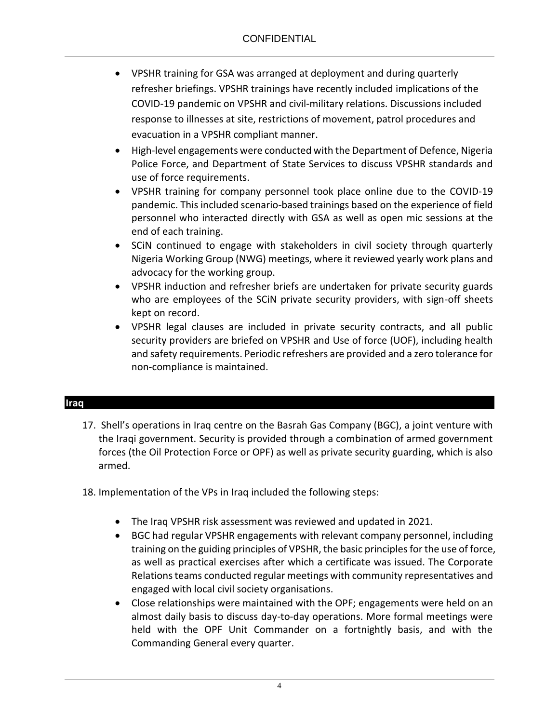- VPSHR training for GSA was arranged at deployment and during quarterly refresher briefings. VPSHR trainings have recently included implications of the COVID-19 pandemic on VPSHR and civil-military relations. Discussions included response to illnesses at site, restrictions of movement, patrol procedures and evacuation in a VPSHR compliant manner.
- High-level engagements were conducted with the Department of Defence, Nigeria Police Force, and Department of State Services to discuss VPSHR standards and use of force requirements.
- VPSHR training for company personnel took place online due to the COVID-19 pandemic. This included scenario-based trainings based on the experience of field personnel who interacted directly with GSA as well as open mic sessions at the end of each training.
- SCiN continued to engage with stakeholders in civil society through quarterly Nigeria Working Group (NWG) meetings, where it reviewed yearly work plans and advocacy for the working group.
- VPSHR induction and refresher briefs are undertaken for private security guards who are employees of the SCiN private security providers, with sign-off sheets kept on record.
- VPSHR legal clauses are included in private security contracts, and all public security providers are briefed on VPSHR and Use of force (UOF), including health and safety requirements. Periodic refreshers are provided and a zero tolerance for non-compliance is maintained.

# **Iraq**

- 17. Shell's operations in Iraq centre on the Basrah Gas Company (BGC), a joint venture with the Iraqi government. Security is provided through a combination of armed government forces (the Oil Protection Force or OPF) as well as private security guarding, which is also armed.
- 18. Implementation of the VPs in Iraq included the following steps:
	- The Iraq VPSHR risk assessment was reviewed and updated in 2021.
	- BGC had regular VPSHR engagements with relevant company personnel, including training on the guiding principles of VPSHR, the basic principles for the use of force, as well as practical exercises after which a certificate was issued. The Corporate Relations teams conducted regular meetings with community representatives and engaged with local civil society organisations.
	- Close relationships were maintained with the OPF; engagements were held on an almost daily basis to discuss day-to-day operations. More formal meetings were held with the OPF Unit Commander on a fortnightly basis, and with the Commanding General every quarter.